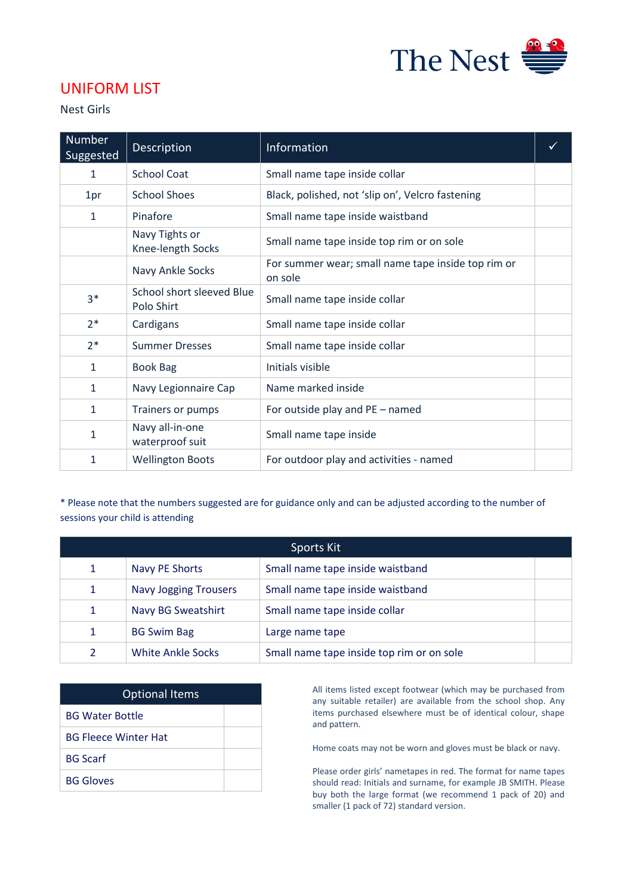

## UNIFORM LIST

Nest Girls

| <b>Number</b><br>Suggested | <b>Description</b>                      | Information                                                   |  |
|----------------------------|-----------------------------------------|---------------------------------------------------------------|--|
| 1                          | <b>School Coat</b>                      | Small name tape inside collar                                 |  |
| 1pr                        | <b>School Shoes</b>                     | Black, polished, not 'slip on', Velcro fastening              |  |
| 1                          | Pinafore                                | Small name tape inside waistband                              |  |
|                            | Navy Tights or<br>Knee-length Socks     | Small name tape inside top rim or on sole                     |  |
|                            | Navy Ankle Socks                        | For summer wear; small name tape inside top rim or<br>on sole |  |
| $3*$                       | School short sleeved Blue<br>Polo Shirt | Small name tape inside collar                                 |  |
| $2*$                       | Cardigans                               | Small name tape inside collar                                 |  |
| $2*$                       | <b>Summer Dresses</b>                   | Small name tape inside collar                                 |  |
| 1                          | <b>Book Bag</b>                         | Initials visible                                              |  |
| 1                          | Navy Legionnaire Cap                    | Name marked inside                                            |  |
| $\mathbf{1}$               | Trainers or pumps                       | For outside play and PE - named                               |  |
| 1                          | Navy all-in-one<br>waterproof suit      | Small name tape inside                                        |  |
| 1                          | <b>Wellington Boots</b>                 | For outdoor play and activities - named                       |  |

\* Please note that the numbers suggested are for guidance only and can be adjusted according to the number of sessions your child is attending

| Sports Kit   |                              |                                           |  |
|--------------|------------------------------|-------------------------------------------|--|
| 1            | Navy PE Shorts               | Small name tape inside waistband          |  |
| 1            | <b>Navy Jogging Trousers</b> | Small name tape inside waistband          |  |
| 1            | Navy BG Sweatshirt           | Small name tape inside collar             |  |
| $\mathbf{1}$ | <b>BG Swim Bag</b>           | Large name tape                           |  |
|              | White Ankle Socks            | Small name tape inside top rim or on sole |  |

| <b>Optional Items</b>       |  |
|-----------------------------|--|
| <b>BG Water Bottle</b>      |  |
| <b>BG Fleece Winter Hat</b> |  |
| <b>BG Scarf</b>             |  |
| <b>BG Gloves</b>            |  |

All items listed except footwear (which may be purchased from any suitable retailer) are available from the school shop. Any items purchased elsewhere must be of identical colour, shape and pattern.

Home coats may not be worn and gloves must be black or navy.

Please order girls' nametapes in red. The format for name tapes should read: Initials and surname, for example JB SMITH. Please buy both the large format (we recommend 1 pack of 20) and smaller (1 pack of 72) standard version.